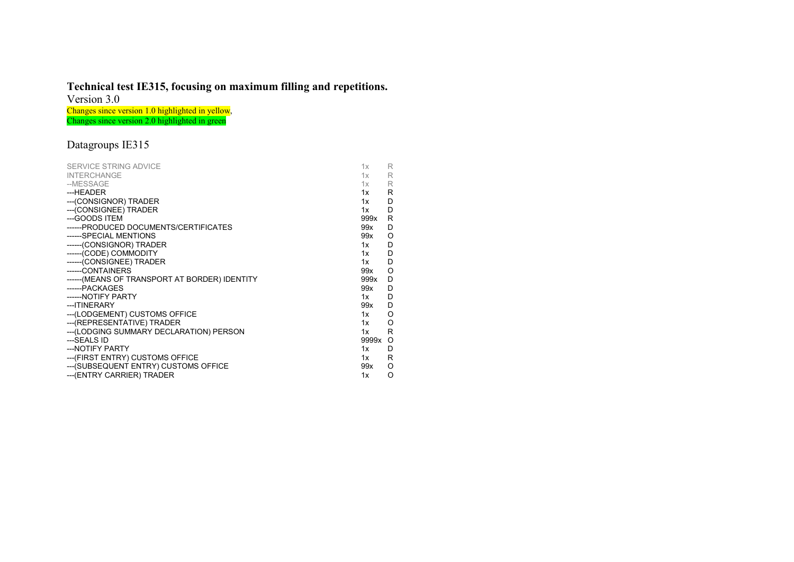## Technical test IE315, focusing on maximum filling and repetitions.

Version 3.0

Changes since version 1.0 highlighted in yellow, Changes since version 2.0 highlighted in green

## Datagroups IE315

| SERVICE STRING ADVICE                          | 1x            | R |
|------------------------------------------------|---------------|---|
| <b>INTERCHANGE</b>                             | $1x \t R$     |   |
| --MESSAGE                                      | $1x \qquad R$ |   |
| ---HEADER                                      | 1x            | R |
| --- (CONSIGNOR) TRADER                         | 1x            | D |
| --- (CONSIGNEE) TRADER                         | 1x            | D |
| ---GOODS ITEM                                  | 999x R        |   |
| ------PRODUCED DOCUMENTS/CERTIFICATES          | 99x           | D |
| ------SPECIAL MENTIONS                         | 99x O         |   |
| ------(CONSIGNOR) TRADER                       | 1x            | D |
| ------(CODE) COMMODITY                         | 1x            | D |
| ------(CONSIGNEE) TRADER                       | 1x            | D |
| ------CONTAINERS                               | 99x           | O |
| ------ (MEANS OF TRANSPORT AT BORDER) IDENTITY | 999x          | D |
| ------PACKAGES                                 | 99x           | D |
| ------ NOTIFY PARTY                            | 1x            | D |
| --- ITINERARY                                  | 99x D         |   |
| --- (LODGEMENT) CUSTOMS OFFICE                 | 1x            | O |
| --- (REPRESENTATIVE) TRADER                    | $1x \quad O$  |   |
| --- (LODGING SUMMARY DECLARATION) PERSON       | 1x            | R |
| ---SEALS ID                                    | 9999x O       |   |
| --- NOTIFY PARTY                               | 1x            | D |
| --- (FIRST ENTRY) CUSTOMS OFFICE               | $1x \quad R$  |   |
| --- (SUBSEQUENT ENTRY) CUSTOMS OFFICE          | 99x O         |   |
| --- (ENTRY CARRIER) TRADER                     | 1x            | O |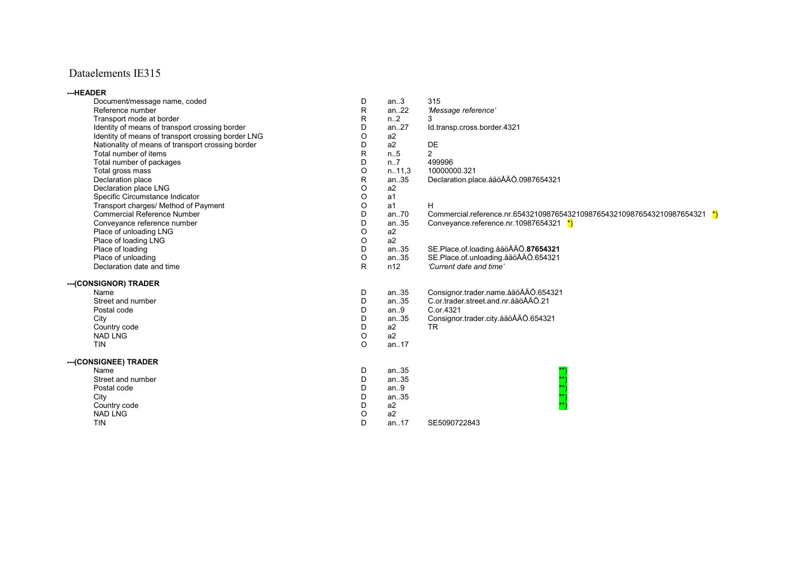## Dataelements IE315

| ---HEADER                                          |         |                  |                                                                          |
|----------------------------------------------------|---------|------------------|--------------------------------------------------------------------------|
| Document/message name, coded                       | D       | an.3             | 315                                                                      |
| Reference number                                   | R       | an.22            | 'Message reference'                                                      |
| Transport mode at border                           | R.      | n <sub>1</sub> 2 | 3                                                                        |
| Identity of means of transport crossing border     | D       | an27             | Id.transp.cross.border.4321                                              |
| Identity of means of transport crossing border LNG | O       | a <sub>2</sub>   |                                                                          |
| Nationality of means of transport crossing border  | D       | a2               | DE                                                                       |
| Total number of items                              | R       | n.5              | $\overline{2}$                                                           |
| Total number of packages                           | D       | $n1$ .7          | 499996                                                                   |
| Total gross mass                                   | O       | n.11,3           | 10000000.321                                                             |
| Declaration place                                  | R.      | an.35            | Declaration.place.aaöAÄÖ.0987654321                                      |
| Declaration place LNG                              | O       | a2               |                                                                          |
| Specific Circumstance Indicator                    | O       | a <sub>1</sub>   |                                                                          |
| Transport charges/ Method of Payment               | O       | a <sub>1</sub>   | H.                                                                       |
| <b>Commercial Reference Number</b>                 | D       | an.70            | Commercial.reference.nr.6543210987654321098765432109876543210987654321 * |
| Conveyance reference number                        | D       | an35             | Conveyance reference nr.10987654321 $*$                                  |
| Place of unloading LNG                             | O       | a2               |                                                                          |
| Place of loading LNG                               | O       | a2               |                                                                          |
| Place of loading                                   | D       | an.35            | SE.Place.of.loading.aaoAAO.87654321                                      |
| Place of unloading                                 | O       | an.35            | SE.Place.of.unloading.aaoAAO.654321                                      |
| Declaration date and time                          | R       | n12              | 'Current date and time'                                                  |
| --- (CONSIGNOR) TRADER                             |         |                  |                                                                          |
| Name                                               | D       | an.35            | Consignor.trader.name.åäöÅÄÖ.654321                                      |
| Street and number                                  | D       | an.35            | C.or.trader.street.and.nr.aaoAAO.21                                      |
| Postal code                                        | D       | an.9             | C.or.4321                                                                |
| City                                               | D       | an35             | Consignor.trader.city.aaoAAO.654321                                      |
| Country code                                       | D       | a <sub>2</sub>   | TR.                                                                      |
| <b>NAD LNG</b>                                     | O       | a2               |                                                                          |
| <b>TIN</b>                                         | $\circ$ | an17             |                                                                          |
| --- (CONSIGNEE) TRADER                             |         |                  |                                                                          |
| Name                                               | D       | an35             |                                                                          |
| Street and number                                  | D       | an35             |                                                                          |
| Postal code                                        | D       | an.9             |                                                                          |
| City                                               | D       | an.35            |                                                                          |
| Country code                                       | D       | a <sub>2</sub>   |                                                                          |
| <b>NAD LNG</b>                                     | O       | a2               |                                                                          |
| <b>TIN</b>                                         | D       | an17             | SE5090722843                                                             |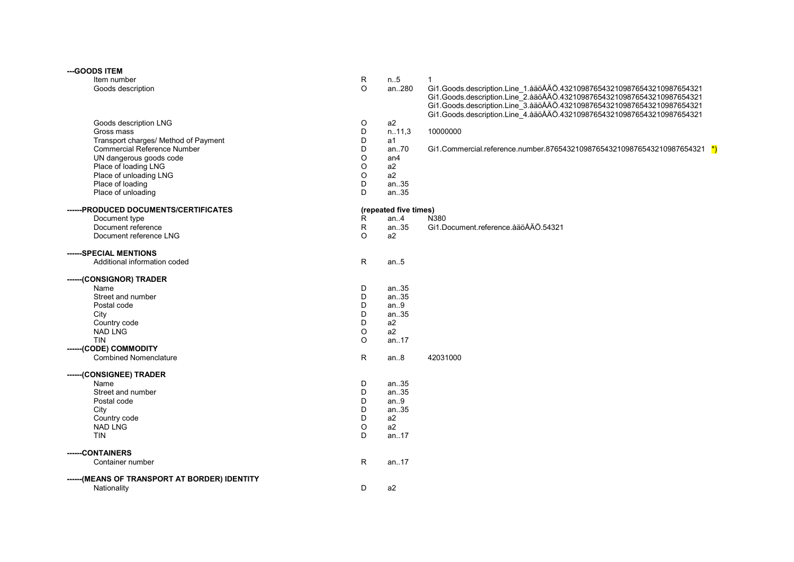| --- GOODS ITEM                                 |              |                       |                                                                        |
|------------------------------------------------|--------------|-----------------------|------------------------------------------------------------------------|
| Item number                                    | R            | n.5                   | 1                                                                      |
| Goods description                              | $\circ$      | an280                 | Gi1.Goods.description.Line_1.åäöÅÄÖ.4321098765432109876543210987654321 |
|                                                |              |                       | Gi1.Goods.description.Line_2.aaoAAO.4321098765432109876543210987654321 |
|                                                |              |                       | Gi1.Goods.description.Line_3.aaoAAO.4321098765432109876543210987654321 |
|                                                |              |                       | Gi1.Goods.description.Line_4.aaoAAO.4321098765432109876543210987654321 |
| Goods description LNG                          | O            | a2                    |                                                                        |
| Gross mass                                     | D            | n.11,3                | 10000000                                                               |
| Transport charges/ Method of Payment           | D            | a1                    |                                                                        |
| <b>Commercial Reference Number</b>             | D            | an70                  | Gi1.Commercial.reference.number.87654321098765432109876543210987654321 |
| UN dangerous goods code                        | O            | an4                   |                                                                        |
| Place of loading LNG                           | $\circ$      | a2                    |                                                                        |
| Place of unloading LNG                         | O            | a2                    |                                                                        |
| Place of loading                               | D            | an.35                 |                                                                        |
| Place of unloading                             | D            | an35                  |                                                                        |
| ------PRODUCED DOCUMENTS/CERTIFICATES          |              | (repeated five times) |                                                                        |
| Document type                                  | R            | an.4                  | N380                                                                   |
| Document reference                             | $\mathsf R$  | an35                  | Gi1.Document.reference.aaöÅÄÖ.54321                                    |
| Document reference LNG                         | $\circ$      | a2                    |                                                                        |
| ------SPECIAL MENTIONS                         |              |                       |                                                                        |
| Additional information coded                   | ${\sf R}$    | an.5                  |                                                                        |
|                                                |              |                       |                                                                        |
| ------(CONSIGNOR) TRADER                       |              |                       |                                                                        |
| Name                                           | D            | an.35                 |                                                                        |
| Street and number                              | D            | an35                  |                                                                        |
| Postal code                                    | D            | an.9                  |                                                                        |
| City                                           | D            | an35                  |                                                                        |
| Country code                                   | D            | a2                    |                                                                        |
| <b>NAD LNG</b>                                 | O            | a2                    |                                                                        |
| <b>TIN</b>                                     | O            | an17                  |                                                                        |
| ------(CODE) COMMODITY                         |              |                       |                                                                        |
| <b>Combined Nomenclature</b>                   | $\mathsf R$  | an.8                  | 42031000                                                               |
| ------(CONSIGNEE) TRADER                       |              |                       |                                                                        |
| Name                                           | D            | an.35                 |                                                                        |
| Street and number                              | D            | an35                  |                                                                        |
| Postal code                                    | D            | an.9                  |                                                                        |
| City                                           | D            | an.35                 |                                                                        |
| Country code                                   | D            | a2                    |                                                                        |
| <b>NAD LNG</b>                                 | $\circ$      | a2                    |                                                                        |
| <b>TIN</b>                                     | D            | an17                  |                                                                        |
| -----CONTAINERS                                |              |                       |                                                                        |
| Container number                               | $\mathsf{R}$ | an17                  |                                                                        |
| ------ (MEANS OF TRANSPORT AT BORDER) IDENTITY |              |                       |                                                                        |
| Nationality                                    | D            | a2                    |                                                                        |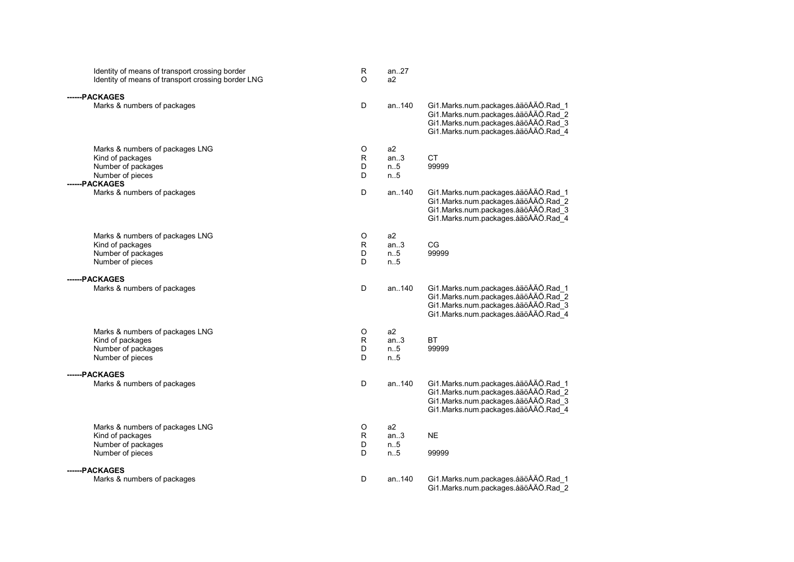| Identity of means of transport crossing border<br>Identity of means of transport crossing border LNG | R<br>$\Omega$ | an27<br>a2 |                                                                                                                                                          |
|------------------------------------------------------------------------------------------------------|---------------|------------|----------------------------------------------------------------------------------------------------------------------------------------------------------|
| ------PACKAGES                                                                                       |               |            |                                                                                                                                                          |
| Marks & numbers of packages                                                                          | D             | an140      | Gi1.Marks.num.packages.åäöÅÄÖ.Rad 1<br>Gi1.Marks.num.packages.åäöÅÄÖ.Rad_2<br>Gi1.Marks.num.packages.åäöÅÄÖ.Rad_3<br>Gi1.Marks.num.packages.åäöÅÄÖ.Rad 4 |
| Marks & numbers of packages LNG                                                                      | O             | a2         |                                                                                                                                                          |
| Kind of packages                                                                                     | R             | an.3       | CT                                                                                                                                                       |
| Number of packages                                                                                   | D             | n.5        | 99999                                                                                                                                                    |
| Number of pieces                                                                                     | D             | n.5        |                                                                                                                                                          |
| ------PACKAGES                                                                                       |               |            |                                                                                                                                                          |
| Marks & numbers of packages                                                                          | D             | an140      | Gi1.Marks.num.packages.åäöÅÄÖ.Rad_1<br>Gi1.Marks.num.packages.åäöÅÄÖ.Rad 2<br>Gi1.Marks.num.packages.åäöÅÄÖ.Rad_3<br>Gi1.Marks.num.packages.åäöÅÄÖ.Rad 4 |
| Marks & numbers of packages LNG                                                                      | O             | a2         |                                                                                                                                                          |
| Kind of packages                                                                                     | R             | an.3       | CG                                                                                                                                                       |
| Number of packages                                                                                   | D             | n.5        | 99999                                                                                                                                                    |
| Number of pieces                                                                                     | D             | n.5        |                                                                                                                                                          |
| ------PACKAGES                                                                                       |               |            |                                                                                                                                                          |
| Marks & numbers of packages                                                                          | D             | an140      | Gi1.Marks.num.packages.åäöÅÄÖ.Rad_1<br>Gi1.Marks.num.packages.åäöÅÄÖ.Rad 2<br>Gi1.Marks.num.packages.åäöÅÄÖ.Rad_3<br>Gi1.Marks.num.packages.åäöÅÄÖ.Rad_4 |
| Marks & numbers of packages LNG                                                                      | O             | a2         |                                                                                                                                                          |
| Kind of packages                                                                                     | R             | an.3       | <b>BT</b>                                                                                                                                                |
| Number of packages                                                                                   | D             | n.5        | 99999                                                                                                                                                    |
| Number of pieces                                                                                     | D             | n.5        |                                                                                                                                                          |
| ------PACKAGES                                                                                       |               |            |                                                                                                                                                          |
| Marks & numbers of packages                                                                          | D             | an140      | Gi1.Marks.num.packages.åäöÅÄÖ.Rad_1<br>Gi1.Marks.num.packages.åäöÅÄÖ.Rad 2<br>Gi1.Marks.num.packages.aaoAAO.Rad_3<br>Gi1.Marks.num.packages.åäöÅÄÖ.Rad_4 |
| Marks & numbers of packages LNG                                                                      | O             | a2         |                                                                                                                                                          |
| Kind of packages                                                                                     | R             | an.3       | <b>NE</b>                                                                                                                                                |
| Number of packages                                                                                   | D             | n.5        |                                                                                                                                                          |
| Number of pieces                                                                                     | D             | n.5        | 99999                                                                                                                                                    |
| ------PACKAGES                                                                                       |               |            |                                                                                                                                                          |
| Marks & numbers of packages                                                                          | D             | an140      | Gi1.Marks.num.packages.åäöÅÄÖ.Rad_1<br>Gi1.Marks.num.packages.åäöÅÄÖ.Rad 2                                                                               |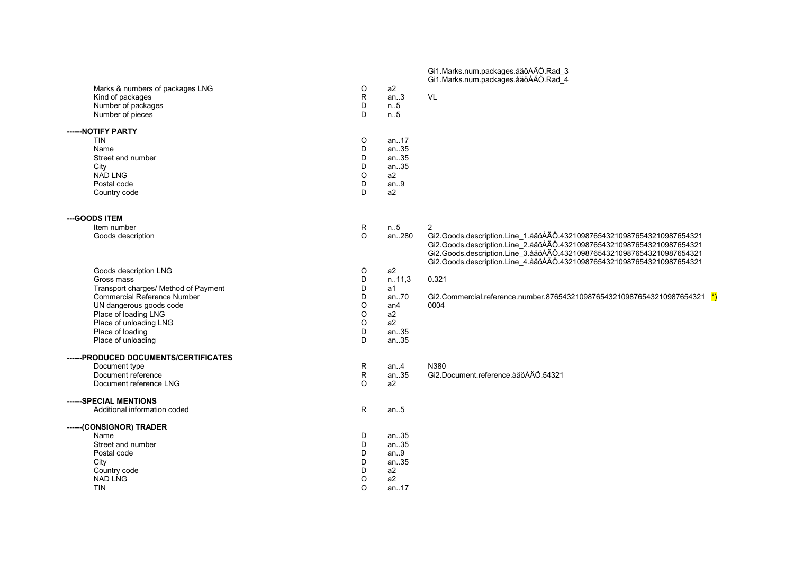|                                        |              |                 | Gi1.Marks.num.packages.åäöÅÄÖ.Rad_3<br>Gi1.Marks.num.packages.åäöÅÄÖ.Rad_4 |
|----------------------------------------|--------------|-----------------|----------------------------------------------------------------------------|
| Marks & numbers of packages LNG        | O            | a2              |                                                                            |
| Kind of packages                       | $\mathsf{R}$ | an.3            | VL                                                                         |
| Number of packages<br>Number of pieces | D<br>D       | n.5<br>n.5      |                                                                            |
|                                        |              |                 |                                                                            |
| ------ NOTIFY PARTY<br><b>TIN</b>      | O            | an17            |                                                                            |
| Name                                   | D            | an35            |                                                                            |
| Street and number                      | D            | an.35           |                                                                            |
| City                                   | D            | an35            |                                                                            |
| <b>NAD LNG</b>                         | O            | a2              |                                                                            |
| Postal code                            | D            | an.9            |                                                                            |
| Country code                           | D            | a <sub>2</sub>  |                                                                            |
| --- GOODS ITEM                         |              |                 |                                                                            |
| Item number                            | R            | n.5             | 2                                                                          |
| Goods description                      | $\mathsf O$  | an280           | Gi2.Goods.description.Line_1.aaoAAO.4321098765432109876543210987654321     |
|                                        |              |                 | Gi2.Goods.description.Line_2.aaoAAO.4321098765432109876543210987654321     |
|                                        |              |                 | Gi2.Goods.description.Line_3.aaoAAO.4321098765432109876543210987654321     |
|                                        |              |                 | Gi2.Goods.description.Line_4.aaoAAO.4321098765432109876543210987654321     |
| Goods description LNG                  | O            | a2              |                                                                            |
| Gross mass                             | D            | n.11,3          | 0.321                                                                      |
| Transport charges/ Method of Payment   | D            | a1              |                                                                            |
| <b>Commercial Reference Number</b>     | D            | an.70           | Gi2.Commercial.reference.number.87654321098765432109876543210987654321 *)  |
| UN dangerous goods code                | O            | an <sub>4</sub> | 0004                                                                       |
| Place of loading LNG                   | $\circ$      | a2              |                                                                            |
| Place of unloading LNG                 | $\circ$      | a2              |                                                                            |
| Place of loading                       | D            | an35            |                                                                            |
| Place of unloading                     | D            | an.35           |                                                                            |
| ------PRODUCED DOCUMENTS/CERTIFICATES  |              |                 |                                                                            |
| Document type                          | R            | an.4            | N380                                                                       |
| Document reference                     | R            | an35            | Gi2.Document.reference.åäöÅÄÖ.54321                                        |
| Document reference LNG                 | O            | a2              |                                                                            |
| ------SPECIAL MENTIONS                 |              |                 |                                                                            |
| Additional information coded           | R            | an.5            |                                                                            |
| ------(CONSIGNOR) TRADER               |              |                 |                                                                            |
| Name                                   | D            | an.35           |                                                                            |
| Street and number                      | D<br>D       | an.35           |                                                                            |
| Postal code                            | D            | an.9            |                                                                            |
| City<br>Country code                   | D            | an35<br>a2      |                                                                            |
| <b>NAD LNG</b>                         | $\circ$      | a2              |                                                                            |
| <b>TIN</b>                             | O            | an.17           |                                                                            |
|                                        |              |                 |                                                                            |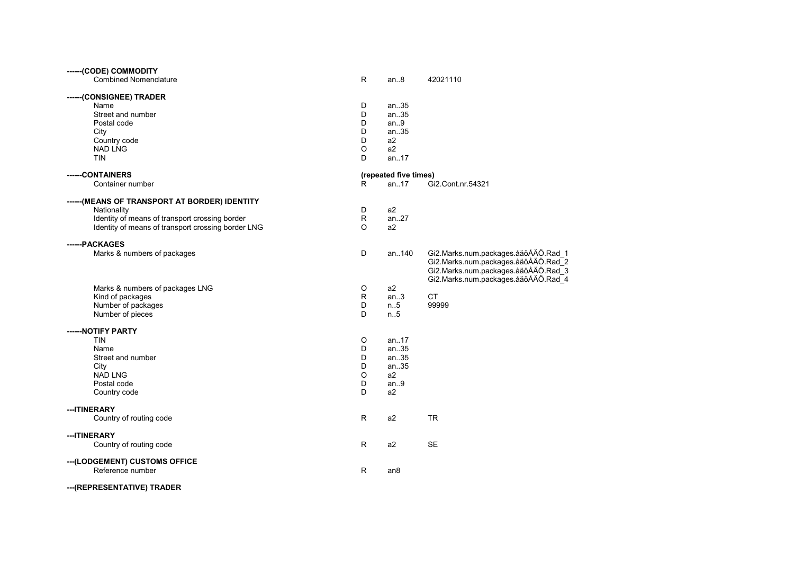| ------(CODE) COMMODITY                             |              |                       |                                     |
|----------------------------------------------------|--------------|-----------------------|-------------------------------------|
| <b>Combined Nomenclature</b>                       | R            | an8                   | 42021110                            |
| ------(CONSIGNEE) TRADER                           |              |                       |                                     |
| Name                                               | D            | an.35                 |                                     |
| Street and number                                  | D            | an35                  |                                     |
| Postal code                                        | D            | an.9                  |                                     |
| City                                               | D            | an.35                 |                                     |
| Country code                                       | D            | a2                    |                                     |
| <b>NAD LNG</b>                                     | O            | a2                    |                                     |
| <b>TIN</b>                                         | D            | an.17                 |                                     |
| ------CONTAINERS                                   |              | (repeated five times) |                                     |
| Container number                                   | R.           | an17                  | Gi2.Cont.nr.54321                   |
|                                                    |              |                       |                                     |
| ------(MEANS OF TRANSPORT AT BORDER) IDENTITY      | D            | a2                    |                                     |
| Nationality                                        |              |                       |                                     |
| Identity of means of transport crossing border     | $\mathsf{R}$ | an27                  |                                     |
| Identity of means of transport crossing border LNG | O            | a2                    |                                     |
| ------PACKAGES                                     |              |                       |                                     |
| Marks & numbers of packages                        | D            | an140                 | Gi2.Marks.num.packages.åäöÅÄÖ.Rad_1 |
|                                                    |              |                       | Gi2.Marks.num.packages.åäöÅÄÖ.Rad_2 |
|                                                    |              |                       | Gi2.Marks.num.packages.åäöÅÄÖ.Rad 3 |
|                                                    |              |                       | Gi2.Marks.num.packages.åäöÅÄÖ.Rad_4 |
| Marks & numbers of packages LNG                    | O            | a2                    |                                     |
| Kind of packages                                   | R            | an.3                  | <b>CT</b>                           |
| Number of packages                                 | D            | n.5                   | 99999                               |
| Number of pieces                                   | D            | n.5                   |                                     |
| ------NOTIFY PARTY                                 |              |                       |                                     |
| <b>TIN</b>                                         | O            | an.17                 |                                     |
| Name                                               | D            | an.35                 |                                     |
| Street and number                                  | D            | an.35                 |                                     |
| City                                               | D            | an.35                 |                                     |
| <b>NAD LNG</b>                                     | O            | a2                    |                                     |
| Postal code                                        | D            | an.9                  |                                     |
| Country code                                       | D            | a <sub>2</sub>        |                                     |
|                                                    |              |                       |                                     |
| ---ITINERARY                                       |              |                       |                                     |
| Country of routing code                            | R            | a2                    | <b>TR</b>                           |
| --- ITINERARY                                      |              |                       |                                     |
| Country of routing code                            | R            | a2                    | <b>SE</b>                           |
| --- (LODGEMENT) CUSTOMS OFFICE                     |              |                       |                                     |
| Reference number                                   | R            | an <sub>8</sub>       |                                     |
| --- (REPRESENTATIVE) TRADER                        |              |                       |                                     |
|                                                    |              |                       |                                     |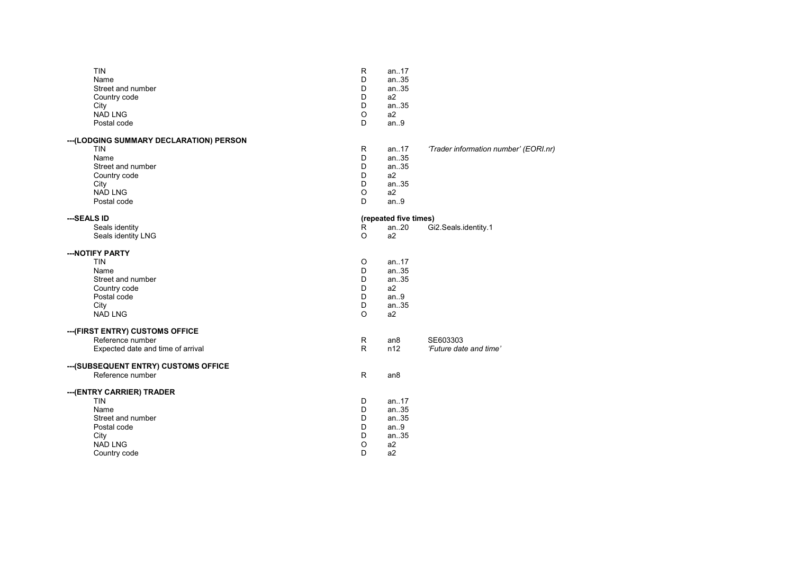| <b>TIN</b>                               | R       | an17                  |                                       |
|------------------------------------------|---------|-----------------------|---------------------------------------|
| Name                                     | D       | an35                  |                                       |
| Street and number                        | D       | an35                  |                                       |
| Country code                             | D       | a2                    |                                       |
| City                                     | D       | an35                  |                                       |
| <b>NAD LNG</b>                           | O       | a <sub>2</sub>        |                                       |
| Postal code                              | D       | an.9                  |                                       |
|                                          |         |                       |                                       |
| --- (LODGING SUMMARY DECLARATION) PERSON |         |                       |                                       |
| <b>TIN</b>                               | R       | an17                  | 'Trader information number' (EORI.nr) |
| Name                                     | D       | an35                  |                                       |
| Street and number                        | D       | an35                  |                                       |
| Country code                             | D       | a2                    |                                       |
| City                                     | D       | an.35                 |                                       |
| <b>NAD LNG</b>                           | O       | a2                    |                                       |
| Postal code                              | D       | an.9                  |                                       |
| ---SEALS ID                              |         | (repeated five times) |                                       |
| Seals identity                           | R       | an20                  | Gi2.Seals.identity.1                  |
| Seals identity LNG                       | $\circ$ | a <sub>2</sub>        |                                       |
|                                          |         |                       |                                       |
| --- NOTIFY PARTY                         |         |                       |                                       |
| <b>TIN</b>                               | O       | an17                  |                                       |
| Name                                     | D       | an.35                 |                                       |
| Street and number                        | D       | an.35                 |                                       |
| Country code                             | D       | a <sub>2</sub>        |                                       |
| Postal code                              | D       | an.9                  |                                       |
| City                                     | D       | an.35                 |                                       |
| <b>NAD LNG</b>                           | O       | a <sub>2</sub>        |                                       |
| --- (FIRST ENTRY) CUSTOMS OFFICE         |         |                       |                                       |
| Reference number                         |         |                       | SE603303                              |
|                                          | R       | an8                   |                                       |
| Expected date and time of arrival        | R       | n12                   | 'Future date and time'                |
| --- (SUBSEQUENT ENTRY) CUSTOMS OFFICE    |         |                       |                                       |
| Reference number                         | R       | an <sub>8</sub>       |                                       |
| ---(ENTRY CARRIER) TRADER                |         |                       |                                       |
| <b>TIN</b>                               | D       | an17                  |                                       |
| Name                                     | D       | an35                  |                                       |
| Street and number                        | D       | an.35                 |                                       |
| Postal code                              | D       | an.9                  |                                       |
| City                                     | D       | an35                  |                                       |
| <b>NAD LNG</b>                           | O       |                       |                                       |
|                                          | D       | a <sub>2</sub><br>a2  |                                       |
| Country code                             |         |                       |                                       |